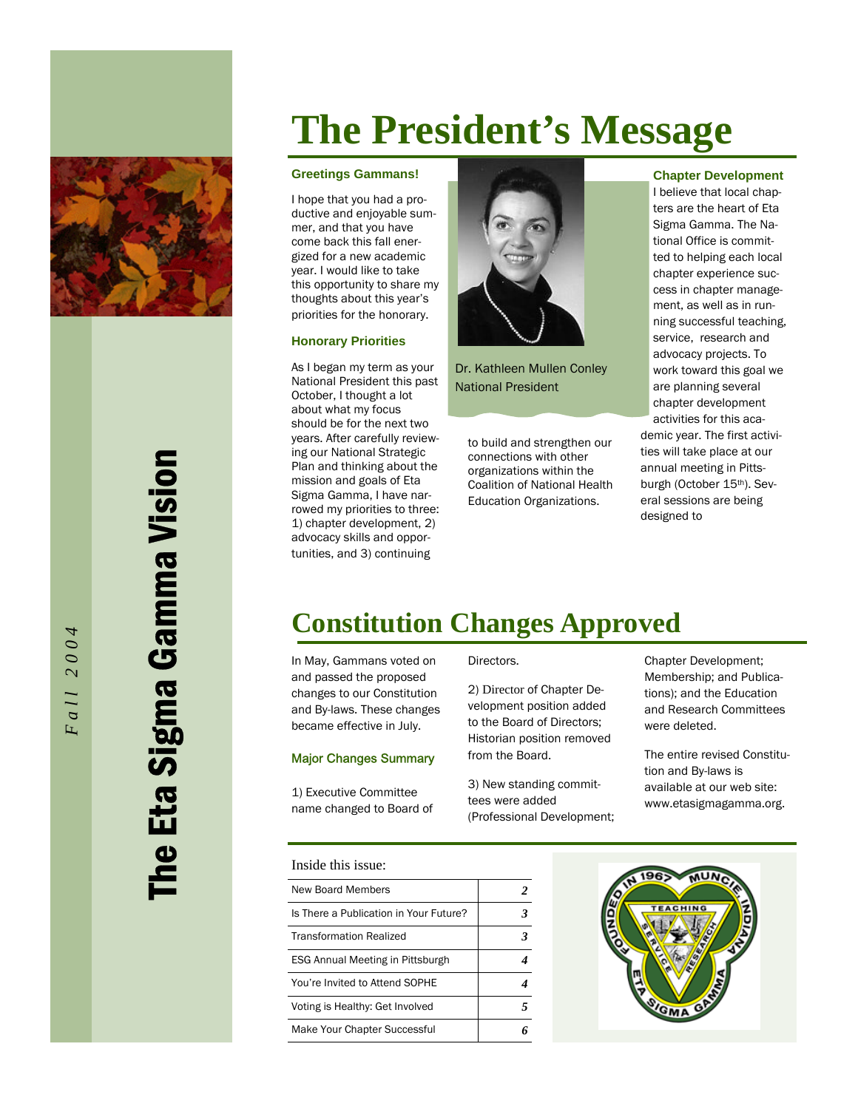

The Eta Sigma Gamma Vision Eta Sigma Gamma Vision

*Fall 2004* 

all 2004

## **The President's Message**

#### **Greetings Gammans!**

I hope that you had a productive and enjoyable summer, and that you have come back this fall energized for a new academic year. I would like to take this opportunity to share my thoughts about this year's priorities for the honorary.

### **Honorary Priorities**

As I began my term as your National President this past October, I thought a lot about what my focus should be for the next two years. After carefully reviewing our National Strategic Plan and thinking about the mission and goals of Eta Sigma Gamma, I have narrowed my priorities to three: 1) chapter development, 2) advocacy skills and opportunities, and 3) continuing



Dr. Kathleen Mullen Conley National President

to build and strengthen our connections with other organizations within the Coalition of National Health Education Organizations.

#### **Chapter Development**

I believe that local chapters are the heart of Eta Sigma Gamma. The National Office is committed to helping each local chapter experience success in chapter management, as well as in running successful teaching, service, research and advocacy projects. To work toward this goal we are planning several chapter development activities for this aca-

demic year. The first activities will take place at our annual meeting in Pittsburgh (October 15th). Several sessions are being designed to

## **Constitution Changes Approved**

In May, Gammans voted on and passed the proposed changes to our Constitution and By-laws. These changes became effective in July.

### Major Changes Summary

1) Executive Committee name changed to Board of

### Inside this issue:

| New Board Members                      |  |
|----------------------------------------|--|
| Is There a Publication in Your Future? |  |
| <b>Transformation Realized</b>         |  |
| ESG Annual Meeting in Pittsburgh       |  |
| You're Invited to Attend SOPHE         |  |
| Voting is Healthy: Get Involved        |  |
| Make Your Chapter Successful           |  |



2) Director of Chapter Development position added to the Board of Directors; Historian position removed from the Board.

3) New standing committees were added (Professional Development; Chapter Development; Membership; and Publications); and the Education and Research Committees were deleted.

The entire revised Constitution and By-laws is available at our web site: www.etasigmagamma.org.

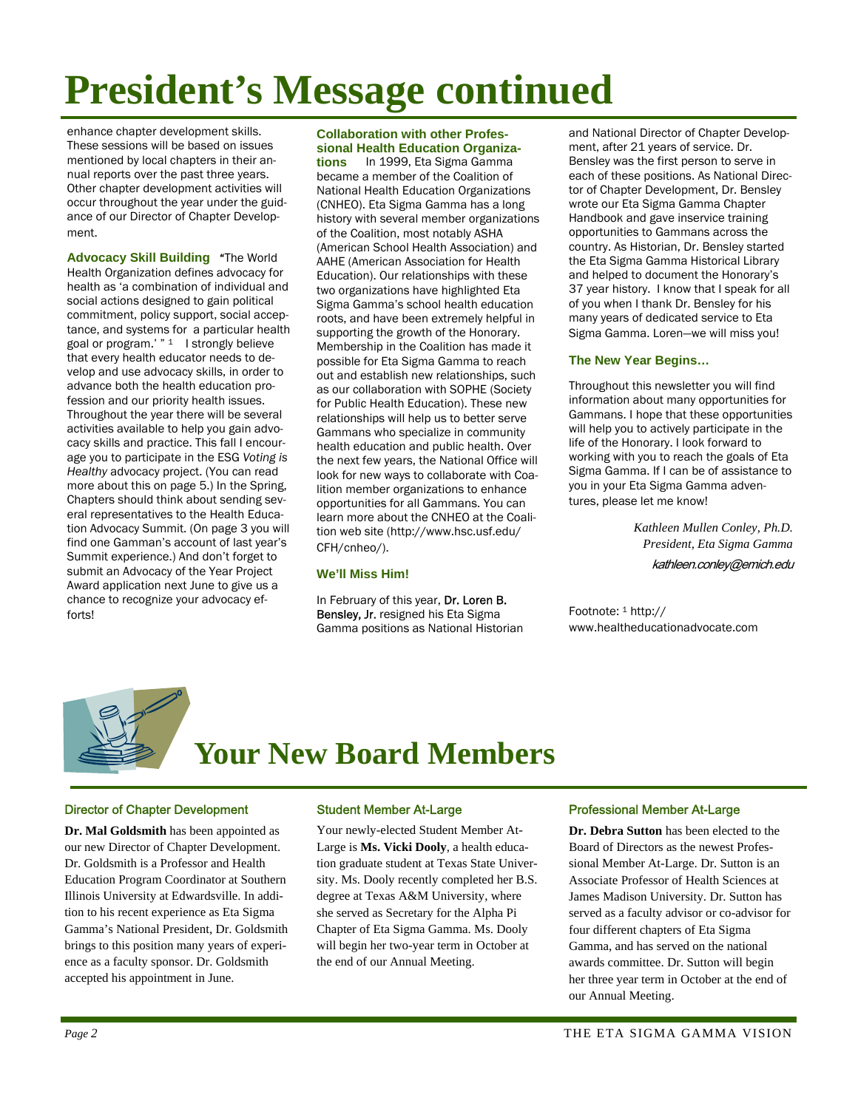# **President's Message continued**

enhance chapter development skills. These sessions will be based on issues mentioned by local chapters in their annual reports over the past three years. Other chapter development activities will occur throughout the year under the guidance of our Director of Chapter Development.

**Advocacy Skill Building** "The World Health Organization defines advocacy for health as 'a combination of individual and social actions designed to gain political commitment, policy support, social acceptance, and systems for a particular health goal or program.'  $"$ <sup>1</sup> I strongly believe that every health educator needs to develop and use advocacy skills, in order to advance both the health education profession and our priority health issues. Throughout the year there will be several activities available to help you gain advocacy skills and practice. This fall I encourage you to participate in the ESG *Voting is Healthy* advocacy project. (You can read more about this on page 5.) In the Spring, Chapters should think about sending several representatives to the Health Education Advocacy Summit. (On page 3 you will find one Gamman's account of last year's Summit experience.) And don't forget to submit an Advocacy of the Year Project Award application next June to give us a chance to recognize your advocacy efforts!

### **Collaboration with other Professional Health Education Organiza-**

**tions** In 1999, Eta Sigma Gamma became a member of the Coalition of National Health Education Organizations (CNHEO). Eta Sigma Gamma has a long history with several member organizations of the Coalition, most notably ASHA (American School Health Association) and AAHE (American Association for Health Education). Our relationships with these two organizations have highlighted Eta Sigma Gamma's school health education roots, and have been extremely helpful in supporting the growth of the Honorary. Membership in the Coalition has made it possible for Eta Sigma Gamma to reach out and establish new relationships, such as our collaboration with SOPHE (Society for Public Health Education). These new relationships will help us to better serve Gammans who specialize in community health education and public health. Over the next few years, the National Office will look for new ways to collaborate with Coalition member organizations to enhance opportunities for all Gammans. You can learn more about the CNHEO at the Coalition web site (http://www.hsc.usf.edu/ CFH/cnheo/).

### **We'll Miss Him!**

In February of this year, Dr. Loren B. Bensley, Jr. resigned his Eta Sigma Gamma positions as National Historian and National Director of Chapter Development, after 21 years of service. Dr. Bensley was the first person to serve in each of these positions. As National Director of Chapter Development, Dr. Bensley wrote our Eta Sigma Gamma Chapter Handbook and gave inservice training opportunities to Gammans across the country. As Historian, Dr. Bensley started the Eta Sigma Gamma Historical Library and helped to document the Honorary's 37 year history. I know that I speak for all of you when I thank Dr. Bensley for his many years of dedicated service to Eta Sigma Gamma. Loren—we will miss you!

### **The New Year Begins…**

Throughout this newsletter you will find information about many opportunities for Gammans. I hope that these opportunities will help you to actively participate in the life of the Honorary. I look forward to working with you to reach the goals of Eta Sigma Gamma. If I can be of assistance to you in your Eta Sigma Gamma adventures, please let me know!

> *Kathleen Mullen Conley, Ph.D. President, Eta Sigma Gamma*  kathleen.conley@emich.edu

Footnote: 1 http:// www.healtheducationadvocate.com



## **Your New Board Members**

### Director of Chapter Development

**Dr. Mal Goldsmith** has been appointed as our new Director of Chapter Development. Dr. Goldsmith is a Professor and Health Education Program Coordinator at Southern Illinois University at Edwardsville. In addition to his recent experience as Eta Sigma Gamma's National President, Dr. Goldsmith brings to this position many years of experience as a faculty sponsor. Dr. Goldsmith accepted his appointment in June.

### Student Member At-Large

Your newly-elected Student Member At-Large is **Ms. Vicki Dooly**, a health education graduate student at Texas State University. Ms. Dooly recently completed her B.S. degree at Texas A&M University, where she served as Secretary for the Alpha Pi Chapter of Eta Sigma Gamma. Ms. Dooly will begin her two-year term in October at the end of our Annual Meeting.

### Professional Member At-Large

**Dr. Debra Sutton** has been elected to the Board of Directors as the newest Professional Member At-Large. Dr. Sutton is an Associate Professor of Health Sciences at James Madison University. Dr. Sutton has served as a faculty advisor or co-advisor for four different chapters of Eta Sigma Gamma, and has served on the national awards committee. Dr. Sutton will begin her three year term in October at the end of our Annual Meeting.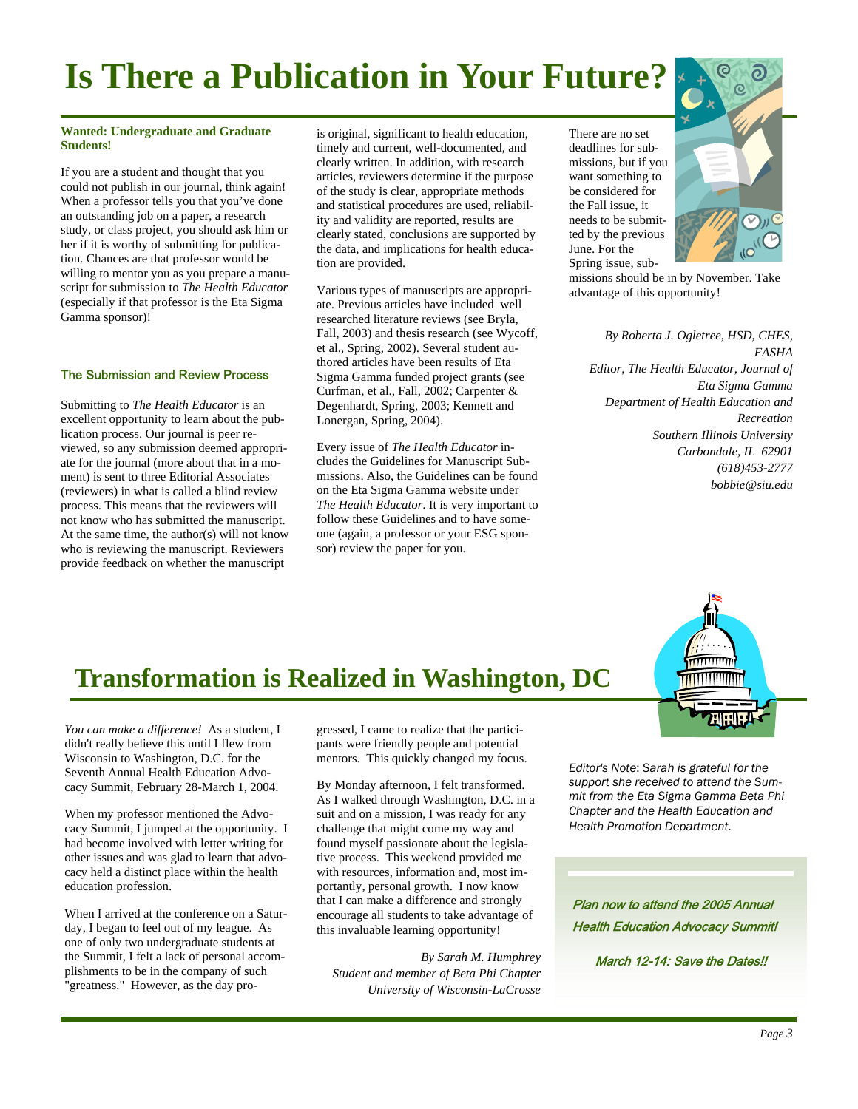## **Is There a Publication in Your Future?**

### **Wanted: Undergraduate and Graduate Students!**

If you are a student and thought that you could not publish in our journal, think again! When a professor tells you that you've done an outstanding job on a paper, a research study, or class project, you should ask him or her if it is worthy of submitting for publication. Chances are that professor would be willing to mentor you as you prepare a manuscript for submission to *The Health Educator*  (especially if that professor is the Eta Sigma Gamma sponsor)!

### The Submission and Review Process

Submitting to *The Health Educator* is an excellent opportunity to learn about the publication process. Our journal is peer reviewed, so any submission deemed appropriate for the journal (more about that in a moment) is sent to three Editorial Associates (reviewers) in what is called a blind review process. This means that the reviewers will not know who has submitted the manuscript. At the same time, the author(s) will not know who is reviewing the manuscript. Reviewers provide feedback on whether the manuscript

is original, significant to health education, timely and current, well-documented, and clearly written. In addition, with research articles, reviewers determine if the purpose of the study is clear, appropriate methods and statistical procedures are used, reliability and validity are reported, results are clearly stated, conclusions are supported by the data, and implications for health education are provided.

Various types of manuscripts are appropriate. Previous articles have included well researched literature reviews (see Bryla, Fall, 2003) and thesis research (see Wycoff, et al., Spring, 2002). Several student authored articles have been results of Eta Sigma Gamma funded project grants (see Curfman, et al., Fall, 2002; Carpenter & Degenhardt, Spring, 2003; Kennett and Lonergan, Spring, 2004).

Every issue of *The Health Educator* includes the Guidelines for Manuscript Submissions. Also, the Guidelines can be found on the Eta Sigma Gamma website under *The Health Educator*. It is very important to follow these Guidelines and to have someone (again, a professor or your ESG sponsor) review the paper for you.

There are no set deadlines for submissions, but if you want something to be considered for the Fall issue, it needs to be submitted by the previous June. For the Spring issue, sub-



missions should be in by November. Take advantage of this opportunity!

*By Roberta J. Ogletree, HSD, CHES, FASHA Editor, The Health Educator, Journal of Eta Sigma Gamma Department of Health Education and Recreation Southern Illinois University Carbondale, IL 62901 (618)453-2777 bobbie@siu.edu* 

### **Transformation is Realized in Washington, DC**

*You can make a difference!* As a student, I didn't really believe this until I flew from Wisconsin to Washington, D.C. for the Seventh Annual Health Education Advocacy Summit, February 28-March 1, 2004.

When my professor mentioned the Advocacy Summit, I jumped at the opportunity. I had become involved with letter writing for other issues and was glad to learn that advocacy held a distinct place within the health education profession.

When I arrived at the conference on a Saturday, I began to feel out of my league. As one of only two undergraduate students at the Summit, I felt a lack of personal accomplishments to be in the company of such "greatness." However, as the day pro-

gressed, I came to realize that the participants were friendly people and potential mentors. This quickly changed my focus.

By Monday afternoon, I felt transformed. As I walked through Washington, D.C. in a suit and on a mission, I was ready for any challenge that might come my way and found myself passionate about the legislative process. This weekend provided me with resources, information and, most importantly, personal growth. I now know that I can make a difference and strongly encourage all students to take advantage of this invaluable learning opportunity!

*By Sarah M. Humphrey Student and member of Beta Phi Chapter University of Wisconsin-LaCrosse* 



*Editor's Note*: *Sarah is grateful for the support she received to attend the Summit from the Eta Sigma Gamma Beta Phi Chapter and the Health Education and Health Promotion Department.* 

Plan now to attend the 2005 Annual Health Education Advocacy Summit!

March 12-14: Save the Dates!!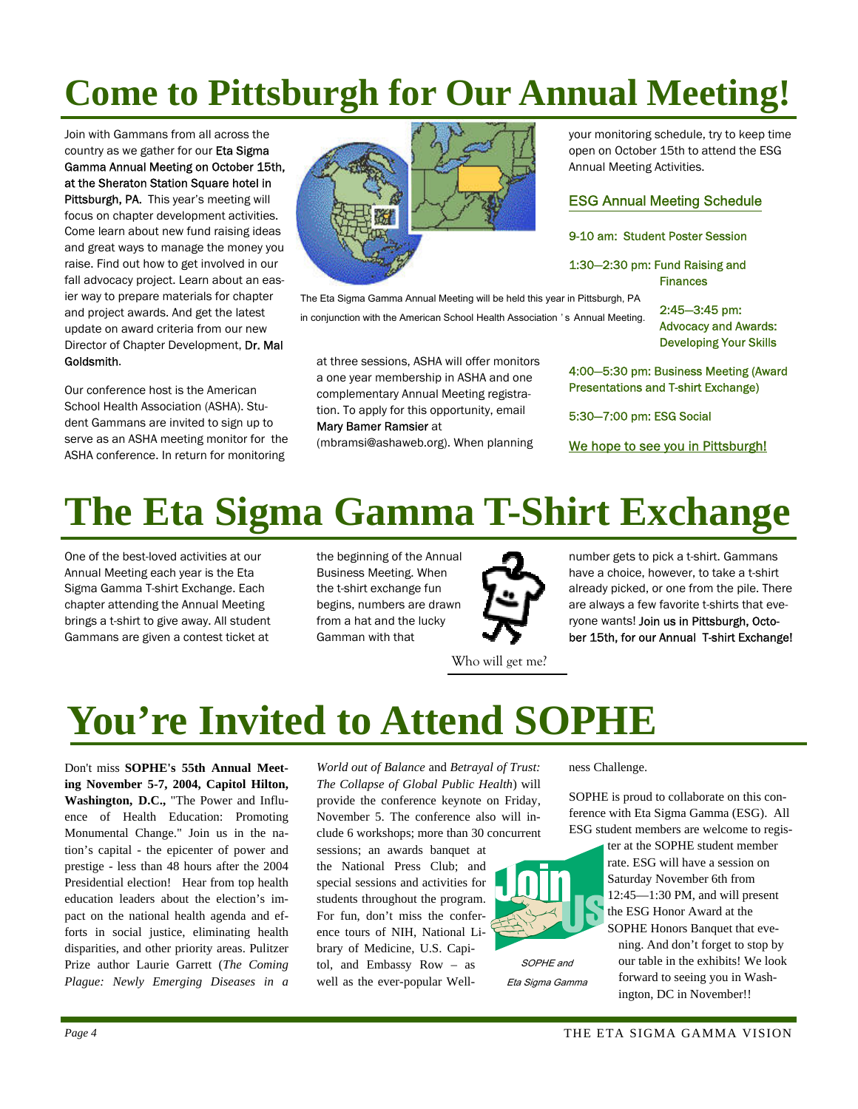## **Come to Pittsburgh for Our Annual Meeting!**

Join with Gammans from all across the country as we gather for our Eta Sigma Gamma Annual Meeting on October 15th, at the Sheraton Station Square hotel in Pittsburgh, PA. This year's meeting will focus on chapter development activities. Come learn about new fund raising ideas and great ways to manage the money you raise. Find out how to get involved in our fall advocacy project. Learn about an easier way to prepare materials for chapter and project awards. And get the latest update on award criteria from our new Director of Chapter Development, Dr. Mal Goldsmith.

Our conference host is the American School Health Association (ASHA). Student Gammans are invited to sign up to serve as an ASHA meeting monitor for the ASHA conference. In return for monitoring



The Eta Sigma Gamma Annual Meeting will be held this year in Pittsburgh, PA in conjunction with the American School Health Association 's Annual Meeting.

at three sessions, ASHA will offer monitors a one year membership in ASHA and one complementary Annual Meeting registration. To apply for this opportunity, email Mary Bamer Ramsier at

(mbramsi@ashaweb.org). When planning

your monitoring schedule, try to keep time open on October 15th to attend the ESG Annual Meeting Activities.

### ESG Annual Meeting Schedule

### 9-10 am: Student Poster Session

1:30—2:30 pm: Fund Raising and Finances

> 2:45—3:45 pm: Advocacy and Awards: Developing Your Skills

4:00—5:30 pm: Business Meeting (Award Presentations and T-shirt Exchange)

5:30—7:00 pm: ESG Social

We hope to see you in Pittsburgh!

## **The Eta Sigma Gamma T-Shirt Exchange**

One of the best-loved activities at our Annual Meeting each year is the Eta Sigma Gamma T-shirt Exchange. Each chapter attending the Annual Meeting brings a t-shirt to give away. All student Gammans are given a contest ticket at

the beginning of the Annual Business Meeting. When the t-shirt exchange fun begins, numbers are drawn from a hat and the lucky Gamman with that

Who will get me?

number gets to pick a t-shirt. Gammans have a choice, however, to take a t-shirt already picked, or one from the pile. There are always a few favorite t-shirts that everyone wants! Join us in Pittsburgh, October 15th, for our Annual T-shirt Exchange!

## **You're Invited to Attend SOPHE**

Don't miss **SOPHE's 55th Annual Meeting November 5-7, 2004, Capitol Hilton, Washington, D.C.,** "The Power and Influence of Health Education: Promoting Monumental Change." Join us in the nation's capital - the epicenter of power and prestige - less than 48 hours after the 2004 Presidential election! Hear from top health education leaders about the election's impact on the national health agenda and efforts in social justice, eliminating health disparities, and other priority areas. Pulitzer Prize author Laurie Garrett (*The Coming Plague: Newly Emerging Diseases in a* 

*World out of Balance* and *Betrayal of Trust: The Collapse of Global Public Health*) will provide the conference keynote on Friday, November 5. The conference also will include 6 workshops; more than 30 concurrent

sessions; an awards banquet at the National Press Club; and special sessions and activities for students throughout the program. For fun, don't miss the conference tours of NIH, National Library of Medicine, U.S. Capitol, and Embassy Row – as well as the ever-popular Wellness Challenge.

SOPHE and Eta Sigma Gamma

SOPHE is proud to collaborate on this conference with Eta Sigma Gamma (ESG). All ESG student members are welcome to regis-

ter at the SOPHE student member rate. ESG will have a session on Saturday November 6th from 12:45—1:30 PM, and will present the ESG Honor Award at the

SOPHE Honors Banquet that evening. And don't forget to stop by our table in the exhibits! We look forward to seeing you in Washington, DC in November!!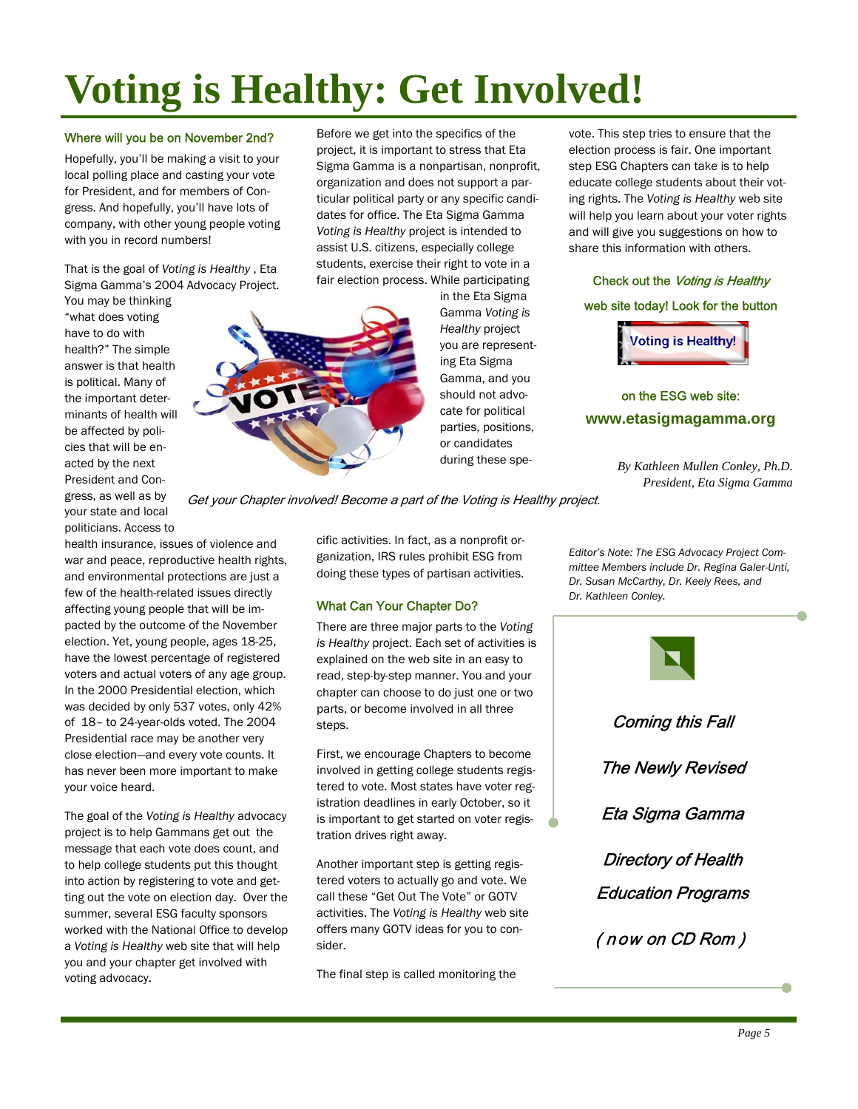# **Voting is Healthy: Get Involved!**

### Where will you be on November 2nd?

Hopefully, you'll be making a visit to your local polling place and casting your vote for President, and for members of Congress. And hopefully, you'll have lots of company, with other young people voting with you in record numbers!

That is the goal of *Voting is Healthy* , Eta Sigma Gamma's 2004 Advocacy Project.

You may be thinking "what does voting have to do with health?" The simple answer is that health is political. Many of the important determinants of health will be affected by policies that will be enacted by the next President and Congress, as well as by your state and local politicians. Access to

health insurance, issues of violence and war and peace, reproductive health rights, and environmental protections are just a few of the health-related issues directly affecting young people that will be impacted by the outcome of the November election. Yet, young people, ages 18-25, have the lowest percentage of registered voters and actual voters of any age group. In the 2000 Presidential election, which was decided by only 537 votes, only 42% of 18– to 24-year-olds voted. The 2004 Presidential race may be another very close election—and every vote counts. It has never been more important to make your voice heard.

The goal of the *Voting is Healthy* advocacy project is to help Gammans get out the message that each vote does count, and to help college students put this thought into action by registering to vote and getting out the vote on election day. Over the summer, several ESG faculty sponsors worked with the National Office to develop a *Voting is Healthy* web site that will help you and your chapter get involved with voting advocacy.

Before we get into the specifics of the project, it is important to stress that Eta Sigma Gamma is a nonpartisan, nonprofit, organization and does not support a particular political party or any specific candidates for office. The Eta Sigma Gamma *Voting is Healthy* project is intended to assist U.S. citizens, especially college students, exercise their right to vote in a fair election process. While participating



in the Eta Sigma Gamma *Voting is Healthy* project you are representing Eta Sigma Gamma, and you should not advocate for political parties, positions, or candidates during these spevote. This step tries to ensure that the election process is fair. One important step ESG Chapters can take is to help educate college students about their voting rights. The *Voting is Healthy* web site will help you learn about your voter rights and will give you suggestions on how to share this information with others.

### Check out the Voting is Healthy

### web site today! Look for the button



on the ESG web site: **www.etasigmagamma.org**

> *By Kathleen Mullen Conley, Ph.D. President, Eta Sigma Gamma*

Get your Chapter involved! Become a part of the Voting is Healthy project.

cific activities. In fact, as a nonprofit organization, IRS rules prohibit ESG from doing these types of partisan activities.

### What Can Your Chapter Do?

There are three major parts to the *Voting is Healthy* project. Each set of activities is explained on the web site in an easy to read, step-by-step manner. You and your chapter can choose to do just one or two parts, or become involved in all three steps.

First, we encourage Chapters to become involved in getting college students registered to vote. Most states have voter registration deadlines in early October, so it is important to get started on voter registration drives right away.

Another important step is getting registered voters to actually go and vote. We call these "Get Out The Vote" or GOTV activities. The *Voting is Healthy* web site offers many GOTV ideas for you to consider.

The final step is called monitoring the

*Editor's Note: The ESG Advocacy Project Committee Members include Dr. Regina Galer-Unti, Dr. Susan McCarthy, Dr. Keely Rees, and Dr. Kathleen Conley.* 

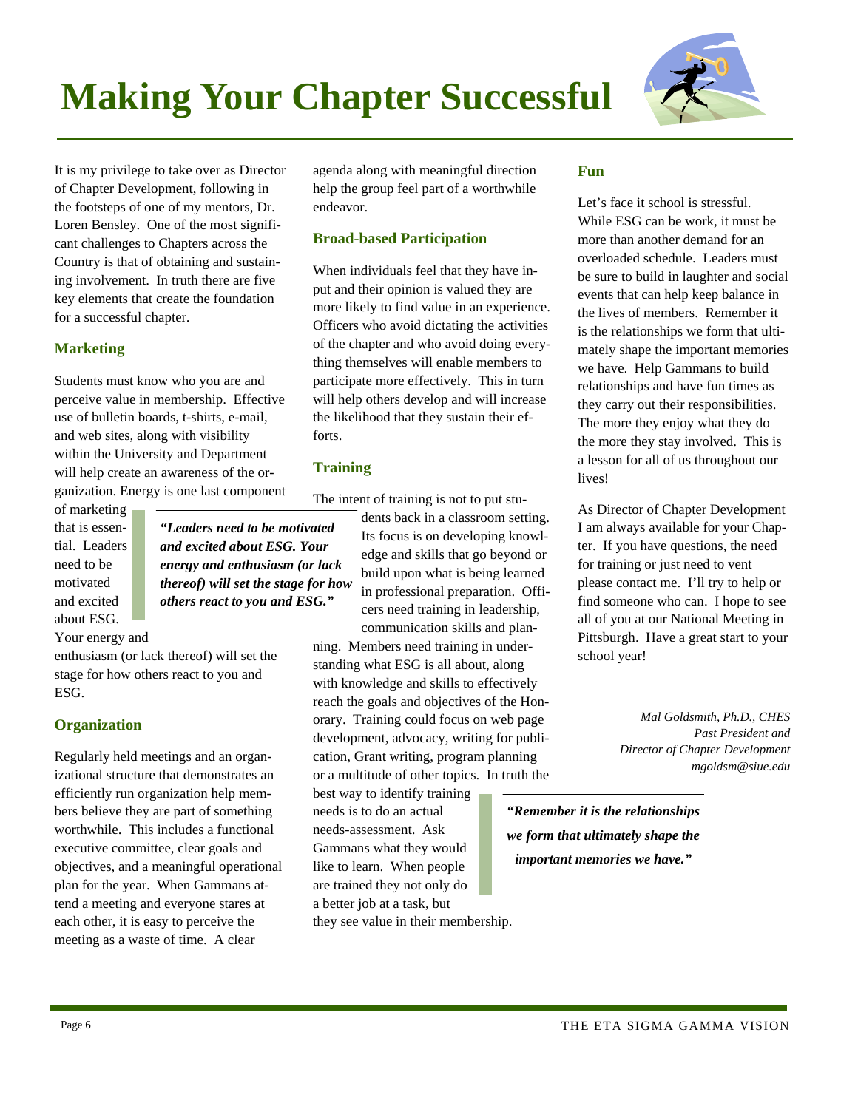# **Making Your Chapter Successful**



It is my privilege to take over as Director of Chapter Development, following in the footsteps of one of my mentors, Dr. Loren Bensley. One of the most significant challenges to Chapters across the Country is that of obtaining and sustaining involvement. In truth there are five key elements that create the foundation for a successful chapter.

### **Marketing**

Students must know who you are and perceive value in membership. Effective use of bulletin boards, t-shirts, e-mail, and web sites, along with visibility within the University and Department will help create an awareness of the organization. Energy is one last component

of marketing that is essential. Leaders need to be motivated and excited about ESG.

*"Leaders need to be motivated and excited about ESG. Your energy and enthusiasm (or lack thereof) will set the stage for how others react to you and ESG."* 

Your energy and

enthusiasm (or lack thereof) will set the stage for how others react to you and ESG.

### **Organization**

Regularly held meetings and an organizational structure that demonstrates an efficiently run organization help members believe they are part of something worthwhile. This includes a functional executive committee, clear goals and objectives, and a meaningful operational plan for the year. When Gammans attend a meeting and everyone stares at each other, it is easy to perceive the meeting as a waste of time. A clear

agenda along with meaningful direction help the group feel part of a worthwhile endeavor.

### **Broad-based Participation**

When individuals feel that they have input and their opinion is valued they are more likely to find value in an experience. Officers who avoid dictating the activities of the chapter and who avoid doing everything themselves will enable members to participate more effectively. This in turn will help others develop and will increase the likelihood that they sustain their efforts.

### **Training**

The intent of training is not to put stu-

dents back in a classroom setting. Its focus is on developing knowledge and skills that go beyond or build upon what is being learned in professional preparation. Officers need training in leadership, communication skills and plan-

ning. Members need training in understanding what ESG is all about, along with knowledge and skills to effectively reach the goals and objectives of the Honorary. Training could focus on web page development, advocacy, writing for publication, Grant writing, program planning or a multitude of other topics. In truth the

best way to identify training needs is to do an actual needs-assessment. Ask Gammans what they would like to learn. When people are trained they not only do a better job at a task, but they see value in their membership.

### **Fun**

Let's face it school is stressful. While ESG can be work, it must be more than another demand for an overloaded schedule. Leaders must be sure to build in laughter and social events that can help keep balance in the lives of members. Remember it is the relationships we form that ultimately shape the important memories we have. Help Gammans to build relationships and have fun times as they carry out their responsibilities. The more they enjoy what they do the more they stay involved. This is a lesson for all of us throughout our lives!

As Director of Chapter Development I am always available for your Chapter. If you have questions, the need for training or just need to vent please contact me. I'll try to help or find someone who can. I hope to see all of you at our National Meeting in Pittsburgh. Have a great start to your school year!

> *Mal Goldsmith, Ph.D., CHES Past President and Director of Chapter Development mgoldsm@siue.edu*

*"Remember it is the relationships we form that ultimately shape the important memories we have."*